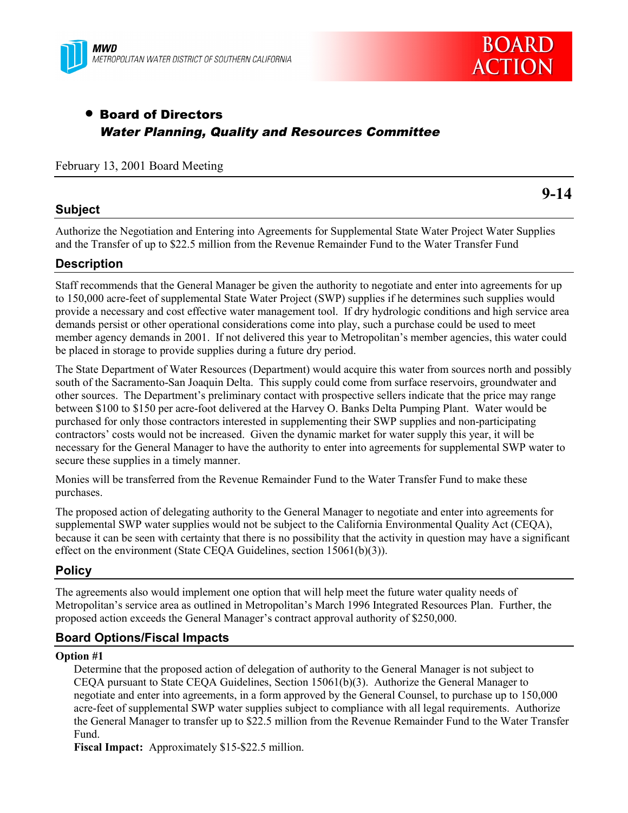



# • Board of Directors Water Planning, Quality and Resources Committee

### February 13, 2001 Board Meeting

### **Subject**

**9-14**

Authorize the Negotiation and Entering into Agreements for Supplemental State Water Project Water Supplies and the Transfer of up to \$22.5 million from the Revenue Remainder Fund to the Water Transfer Fund

## **Description**

Staff recommends that the General Manager be given the authority to negotiate and enter into agreements for up to 150,000 acre-feet of supplemental State Water Project (SWP) supplies if he determines such supplies would provide a necessary and cost effective water management tool. If dry hydrologic conditions and high service area demands persist or other operational considerations come into play, such a purchase could be used to meet member agency demands in 2001. If not delivered this year to Metropolitan's member agencies, this water could be placed in storage to provide supplies during a future dry period.

The State Department of Water Resources (Department) would acquire this water from sources north and possibly south of the Sacramento-San Joaquin Delta. This supply could come from surface reservoirs, groundwater and other sources. The Department's preliminary contact with prospective sellers indicate that the price may range between \$100 to \$150 per acre-foot delivered at the Harvey O. Banks Delta Pumping Plant. Water would be purchased for only those contractors interested in supplementing their SWP supplies and non-participating contractors' costs would not be increased. Given the dynamic market for water supply this year, it will be necessary for the General Manager to have the authority to enter into agreements for supplemental SWP water to secure these supplies in a timely manner.

Monies will be transferred from the Revenue Remainder Fund to the Water Transfer Fund to make these purchases.

The proposed action of delegating authority to the General Manager to negotiate and enter into agreements for supplemental SWP water supplies would not be subject to the California Environmental Quality Act (CEQA), because it can be seen with certainty that there is no possibility that the activity in question may have a significant effect on the environment (State CEQA Guidelines, section 15061(b)(3)).

# **Policy**

The agreements also would implement one option that will help meet the future water quality needs of Metropolitan's service area as outlined in Metropolitan's March 1996 Integrated Resources Plan. Further, the proposed action exceeds the General Manager's contract approval authority of \$250,000.

# **Board Options/Fiscal Impacts**

#### **Option #1**

Determine that the proposed action of delegation of authority to the General Manager is not subject to CEQA pursuant to State CEQA Guidelines, Section 15061(b)(3). Authorize the General Manager to negotiate and enter into agreements, in a form approved by the General Counsel, to purchase up to 150,000 acre-feet of supplemental SWP water supplies subject to compliance with all legal requirements. Authorize the General Manager to transfer up to \$22.5 million from the Revenue Remainder Fund to the Water Transfer Fund.

**Fiscal Impact:** Approximately \$15-\$22.5 million.